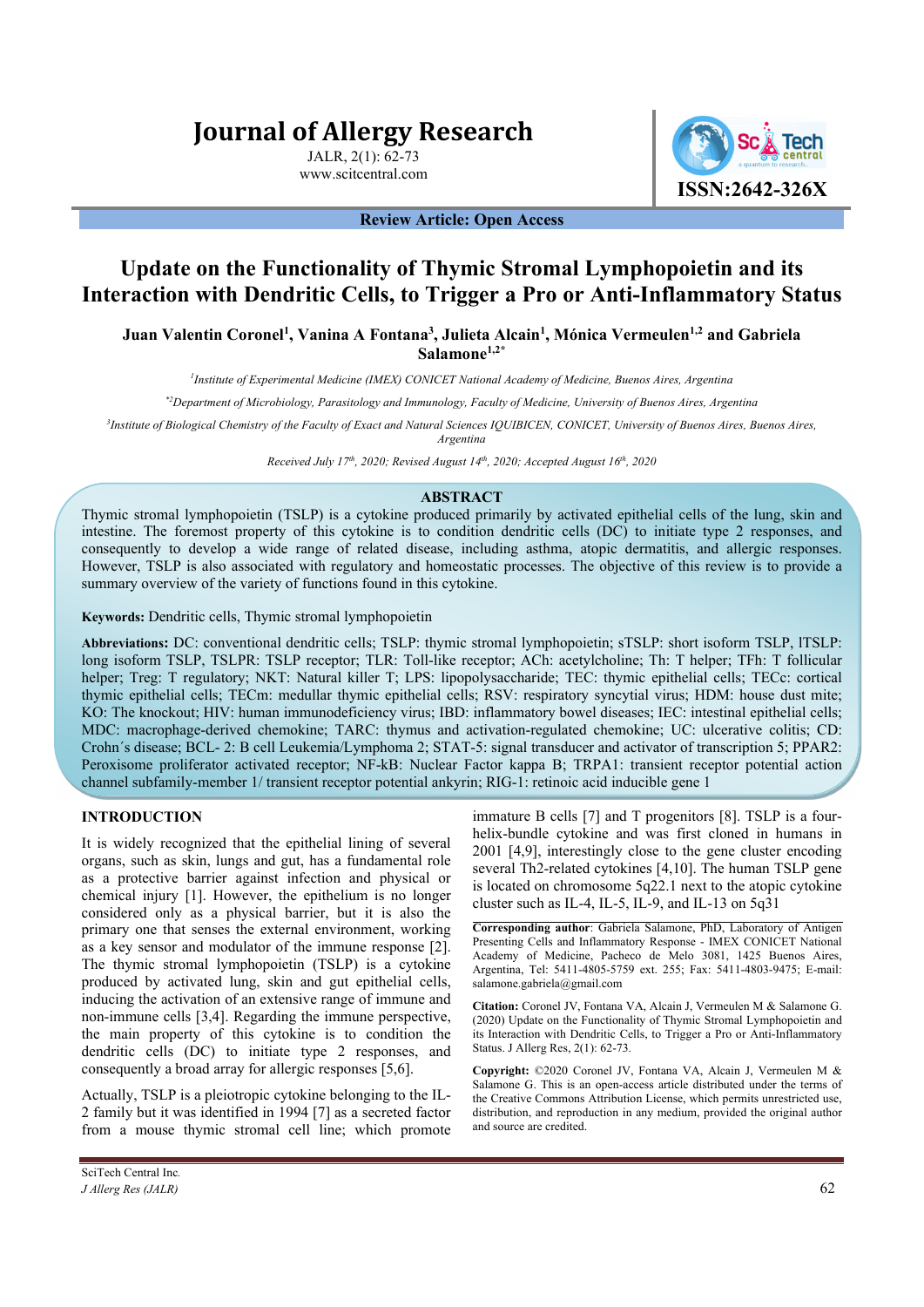# **Journal of Allergy Research**

JALR, 2(1): 62-73 www.scitcentral.com



#### **Review Article: Open Access**

## **Update on the Functionality of Thymic Stromal Lymphopoietin and its Interaction with Dendritic Cells, to Trigger a Pro or Anti-Inflammatory Status**

Juan Valentin Coronel<sup>1</sup>, Vanina A Fontana<sup>3</sup>, Julieta Alcain<sup>1</sup>, Mónica Vermeulen<sup>1,2</sup> and Gabriela **Salamone1,2\***

*1 Institute of Experimental Medicine (IMEX) CONICET National Academy of Medicine, Buenos Aires, Argentina* 

*\*2Department of Microbiology, Parasitology and Immunology, Faculty of Medicine, University of Buenos Aires, Argentina*

*3 Institute of Biological Chemistry of the Faculty of Exact and Natural Sciences IQUIBICEN, CONICET, University of Buenos Aires, Buenos Aires, Argentina* 

*Received July 17th, 2020; Revised August 14th, 2020; Accepted August 16th, 2020*

#### **ABSTRACT**

Thymic stromal lymphopoietin (TSLP) is a cytokine produced primarily by activated epithelial cells of the lung, skin and intestine. The foremost property of this cytokine is to condition dendritic cells (DC) to initiate type 2 responses, and consequently to develop a wide range of related disease, including asthma, atopic dermatitis, and allergic responses. However, TSLP is also associated with regulatory and homeostatic processes. The objective of this review is to provide a summary overview of the variety of functions found in this cytokine.

**Keywords:** Dendritic cells, Thymic stromal lymphopoietin

**Abbreviations:** DC: conventional dendritic cells; TSLP: thymic stromal lymphopoietin; sTSLP: short isoform TSLP, lTSLP: long isoform TSLP, TSLPR: TSLP receptor; TLR: Toll-like receptor; ACh: acetylcholine; Th: T helper; TFh: T follicular helper; Treg: T regulatory; NKT: Natural killer T; LPS: lipopolysaccharide; TEC: thymic epithelial cells; TECc: cortical thymic epithelial cells; TECm: medullar thymic epithelial cells; RSV: respiratory syncytial virus; HDM: house dust mite; KO: The knockout; HIV: human immunodeficiency virus; IBD: inflammatory bowel diseases; IEC: intestinal epithelial cells; MDC: macrophage-derived chemokine; TARC: thymus and activation-regulated chemokine; UC: ulcerative colitis; CD: Crohn´s disease; BCL- 2: B cell Leukemia/Lymphoma 2; STAT-5: signal transducer and activator of transcription 5; PPAR2: Peroxisome proliferator activated receptor; NF-kB: Nuclear Factor kappa B; TRPA1: transient receptor potential action channel subfamily-member 1/ transient receptor potential ankyrin; RIG-1: retinoic acid inducible gene 1

### **INTRODUCTION**

It is widely recognized that the epithelial lining of several organs, such as skin, lungs and gut, has a fundamental role as a protective barrier against infection and physical or chemical injury [1]. However, the epithelium is no longer considered only as a physical barrier, but it is also the primary one that senses the external environment, working as a key sensor and modulator of the immune response [2]. The thymic stromal lymphopoietin (TSLP) is a cytokine produced by activated lung, skin and gut epithelial cells, inducing the activation of an extensive range of immune and non-immune cells [3,4]. Regarding the immune perspective, the main property of this cytokine is to condition the dendritic cells (DC) to initiate type 2 responses, and consequently a broad array for allergic responses [5,6].

Actually, TSLP is a pleiotropic cytokine belonging to the IL-2 family but it was identified in 1994 [7] as a secreted factor from a mouse thymic stromal cell line; which promote

SciTech Central Inc*. J Allerg Res (JALR)* 62

immature B cells [7] and T progenitors [8]. TSLP is a fourhelix-bundle cytokine and was first cloned in humans in 2001 [4,9], interestingly close to the gene cluster encoding several Th2-related cytokines [4,10]. The human TSLP gene is located on chromosome 5q22.1 next to the atopic cytokine cluster such as IL-4, IL-5, IL-9, and IL-13 on 5q31

**Corresponding author**: Gabriela Salamone, PhD, Laboratory of Antigen Presenting Cells and Inflammatory Response - IMEX CONICET National Academy of Medicine, Pacheco de Melo 3081, 1425 Buenos Aires, Argentina, Tel: 5411-4805-5759 ext. 255; Fax: 5411-4803-9475; E-mail: salamone.gabriela@gmail.com

**Citation:** Coronel JV, Fontana VA, Alcain J, Vermeulen M & Salamone G. (2020) Update on the Functionality of Thymic Stromal Lymphopoietin and its Interaction with Dendritic Cells, to Trigger a Pro or Anti-Inflammatory Status. J Allerg Res, 2(1): 62-73.

**Copyright:** ©2020 Coronel JV, Fontana VA, Alcain J, Vermeulen M & Salamone G. This is an open-access article distributed under the terms of the Creative Commons Attribution License, which permits unrestricted use, distribution, and reproduction in any medium, provided the original author and source are credited.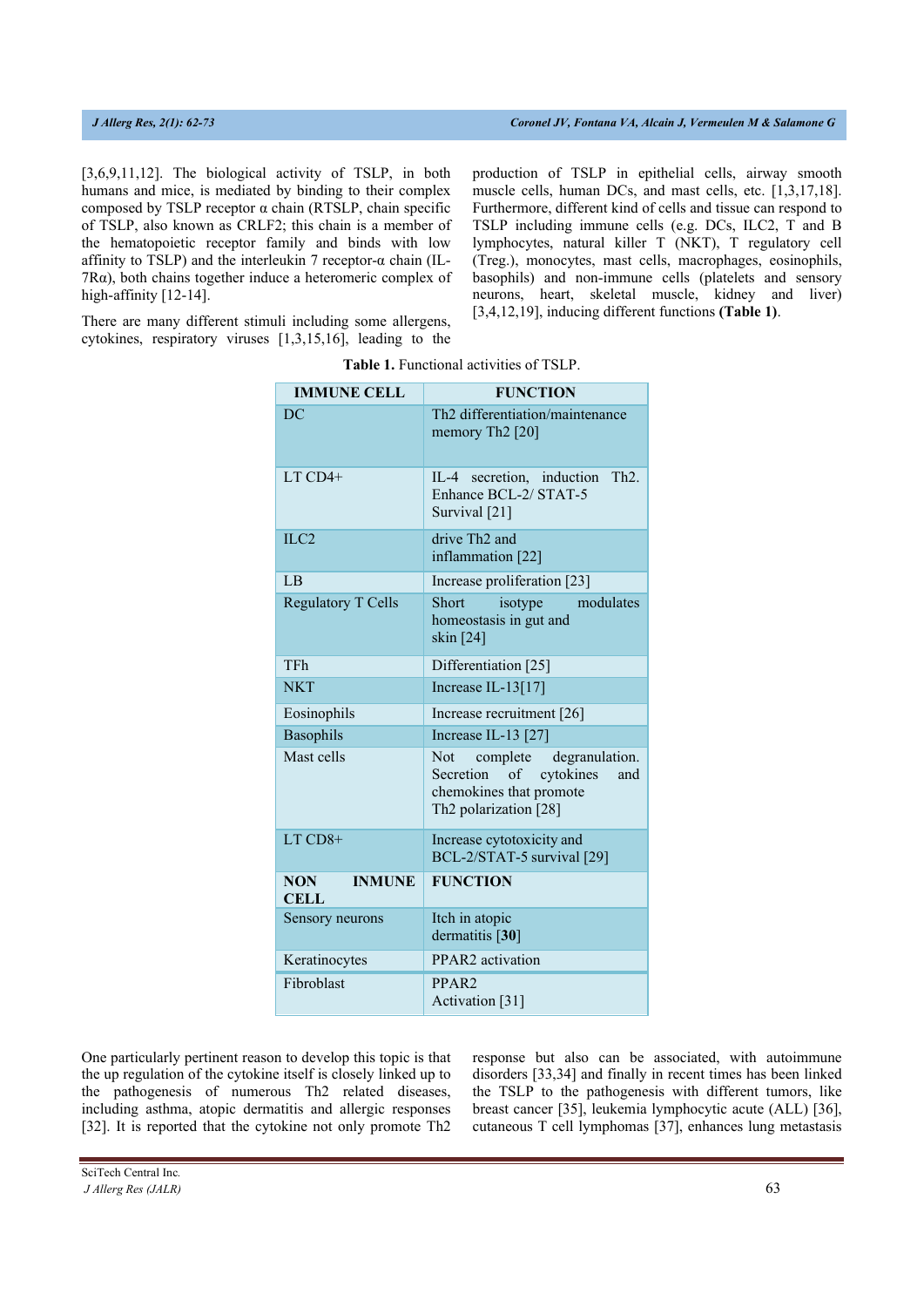[3,6,9,11,12]. The biological activity of TSLP, in both humans and mice, is mediated by binding to their complex composed by TSLP receptor α chain (RTSLP, chain specific of TSLP, also known as CRLF2; this chain is a member of the hematopoietic receptor family and binds with low affinity to TSLP) and the interleukin 7 receptor- $\alpha$  chain (IL-7Rα), both chains together induce a heteromeric complex of high-affinity [12-14].

There are many different stimuli including some allergens, cytokines, respiratory viruses [1,3,15,16], leading to the production of TSLP in epithelial cells, airway smooth muscle cells, human DCs, and mast cells, etc. [1,3,17,18]. Furthermore, different kind of cells and tissue can respond to TSLP including immune cells (e.g. DCs, ILC2, T and B lymphocytes, natural killer T (NKT), T regulatory cell (Treg.), monocytes, mast cells, macrophages, eosinophils, basophils) and non-immune cells (platelets and sensory neurons, heart, skeletal muscle, kidney and liver) [3,4,12,19], inducing different functions **(Table 1)**.

| <b>IMMUNE CELL</b>                         | <b>FUNCTION</b>                                                                                                                  |  |  |
|--------------------------------------------|----------------------------------------------------------------------------------------------------------------------------------|--|--|
| DC                                         | Th2 differentiation/maintenance<br>memory Th <sub>2</sub> [20]                                                                   |  |  |
| $LT$ CD4+                                  | IL-4 secretion, induction<br>Th2.<br>Enhance BCL-2/ STAT-5<br>Survival [21]                                                      |  |  |
| ILC2                                       | drive Th <sub>2</sub> and<br>inflammation [22]                                                                                   |  |  |
| LB                                         | Increase proliferation [23]                                                                                                      |  |  |
| <b>Regulatory T Cells</b>                  | modulates<br>Short<br>isotype<br>homeostasis in gut and<br>skin [24]                                                             |  |  |
| <b>TFh</b>                                 | Differentiation [25]                                                                                                             |  |  |
| <b>NKT</b>                                 | Increase IL-13[17]                                                                                                               |  |  |
| Eosinophils                                | Increase recruitment [26]                                                                                                        |  |  |
| Basophils                                  | Increase IL-13 [27]                                                                                                              |  |  |
| Mast cells                                 | complete degranulation.<br><b>Not</b><br>cytokines<br>Secretion<br>of<br>and<br>chemokines that promote<br>Th2 polarization [28] |  |  |
| $LT$ $CD8+$                                | Increase cytotoxicity and<br>BCL-2/STAT-5 survival [29]                                                                          |  |  |
| <b>NON</b><br><b>INMUNE</b><br><b>CELL</b> | <b>FUNCTION</b>                                                                                                                  |  |  |
| Sensory neurons                            | Itch in atopic<br>dermatitis [30]                                                                                                |  |  |
| Keratinocytes                              | PPAR2 activation                                                                                                                 |  |  |
| Fibroblast                                 | PPAR <sub>2</sub><br>Activation [31]                                                                                             |  |  |

|  | <b>Table 1.</b> Functional activities of TSLP. |  |  |
|--|------------------------------------------------|--|--|
|--|------------------------------------------------|--|--|

One particularly pertinent reason to develop this topic is that the up regulation of the cytokine itself is closely linked up to the pathogenesis of numerous Th2 related diseases, including asthma, atopic dermatitis and allergic responses [32]. It is reported that the cytokine not only promote Th2

response but also can be associated, with autoimmune disorders [33,34] and finally in recent times has been linked the TSLP to the pathogenesis with different tumors, like breast cancer [35], leukemia lymphocytic acute (ALL) [36], cutaneous T cell lymphomas [37], enhances lung metastasis

SciTech Central Inc*.* 

*J Allerg Res (JALR)* 63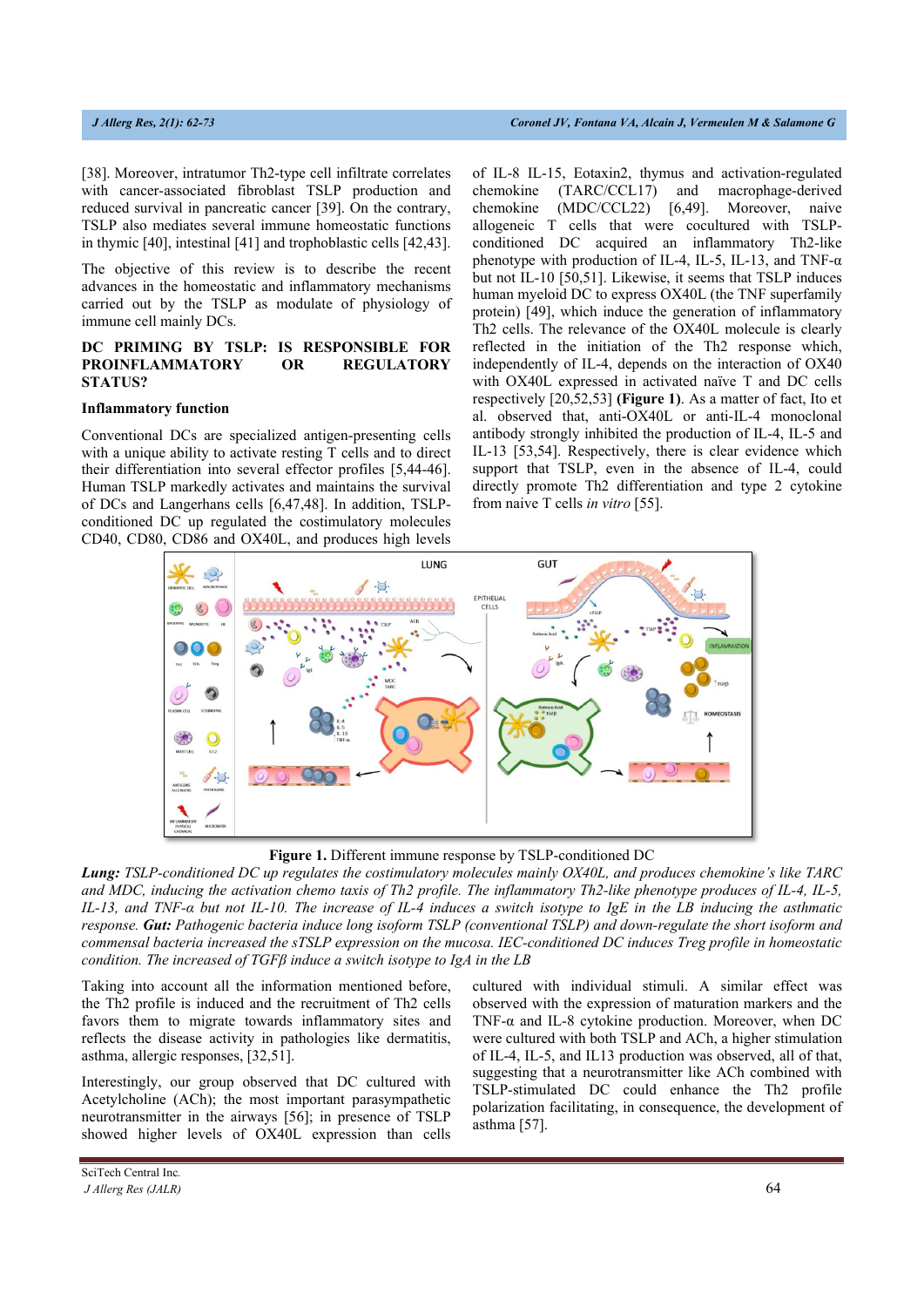[38]. Moreover, intratumor Th2-type cell infiltrate correlates with cancer-associated fibroblast TSLP production and reduced survival in pancreatic cancer [39]. On the contrary, TSLP also mediates several immune homeostatic functions in thymic [40], intestinal [41] and trophoblastic cells [42,43].

The objective of this review is to describe the recent advances in the homeostatic and inflammatory mechanisms carried out by the TSLP as modulate of physiology of immune cell mainly DCs.

#### **DC PRIMING BY TSLP: IS RESPONSIBLE FOR PROINFLAMMATORY OR REGULATORY STATUS?**

#### **Inflammatory function**

Conventional DCs are specialized antigen-presenting cells with a unique ability to activate resting T cells and to direct their differentiation into several effector profiles [5,44-46]. Human TSLP markedly activates and maintains the survival of DCs and Langerhans cells [6,47,48]. In addition, TSLPconditioned DC up regulated the costimulatory molecules CD40, CD80, CD86 and OX40L, and produces high levels of IL-8 IL-15, Eotaxin2, thymus and activation-regulated chemokine (TARC/CCL17) and macrophage-derived chemokine (MDC/CCL22) [6,49]. Moreover, naive allogeneic T cells that were cocultured with TSLPconditioned DC acquired an inflammatory Th2-like phenotype with production of IL-4, IL-5, IL-13, and TNF- $\alpha$ but not IL-10 [50,51]. Likewise, it seems that TSLP induces human myeloid DC to express OX40L (the TNF superfamily protein) [49], which induce the generation of inflammatory Th2 cells. The relevance of the OX40L molecule is clearly reflected in the initiation of the Th2 response which, independently of IL-4, depends on the interaction of OX40 with OX40L expressed in activated naïve T and DC cells respectively [20,52,53] **(Figure 1)**. As a matter of fact, Ito et al. observed that, anti-OX40L or anti-IL-4 monoclonal antibody strongly inhibited the production of IL-4, IL-5 and IL-13 [53,54]. Respectively, there is clear evidence which support that TSLP, even in the absence of IL-4, could directly promote Th2 differentiation and type 2 cytokine from naive T cells *in vitro* [55].



**Figure 1.** Different immune response by TSLP-conditioned DC

*Lung: TSLP-conditioned DC up regulates the costimulatory molecules mainly OX40L, and produces chemokine's like TARC and MDC, inducing the activation chemo taxis of Th2 profile. The inflammatory Th2-like phenotype produces of IL-4, IL-5, IL-13, and TNF-α but not IL-10. The increase of IL-4 induces a switch isotype to IgE in the LB inducing the asthmatic response. Gut: Pathogenic bacteria induce long isoform TSLP (conventional TSLP) and down-regulate the short isoform and commensal bacteria increased the sTSLP expression on the mucosa. IEC-conditioned DC induces Treg profile in homeostatic condition. The increased of TGFβ induce a switch isotype to IgA in the LB*

Taking into account all the information mentioned before, the Th2 profile is induced and the recruitment of Th2 cells favors them to migrate towards inflammatory sites and reflects the disease activity in pathologies like dermatitis, asthma, allergic responses, [32,51].

Interestingly, our group observed that DC cultured with Acetylcholine (ACh); the most important parasympathetic neurotransmitter in the airways [56]; in presence of TSLP showed higher levels of OX40L expression than cells cultured with individual stimuli. A similar effect was observed with the expression of maturation markers and the TNF-α and IL-8 cytokine production. Moreover, when DC were cultured with both TSLP and ACh, a higher stimulation of IL-4, IL-5, and IL13 production was observed, all of that, suggesting that a neurotransmitter like ACh combined with TSLP-stimulated DC could enhance the Th2 profile polarization facilitating, in consequence, the development of  $asthma$  [57].

SciTech Central Inc*.*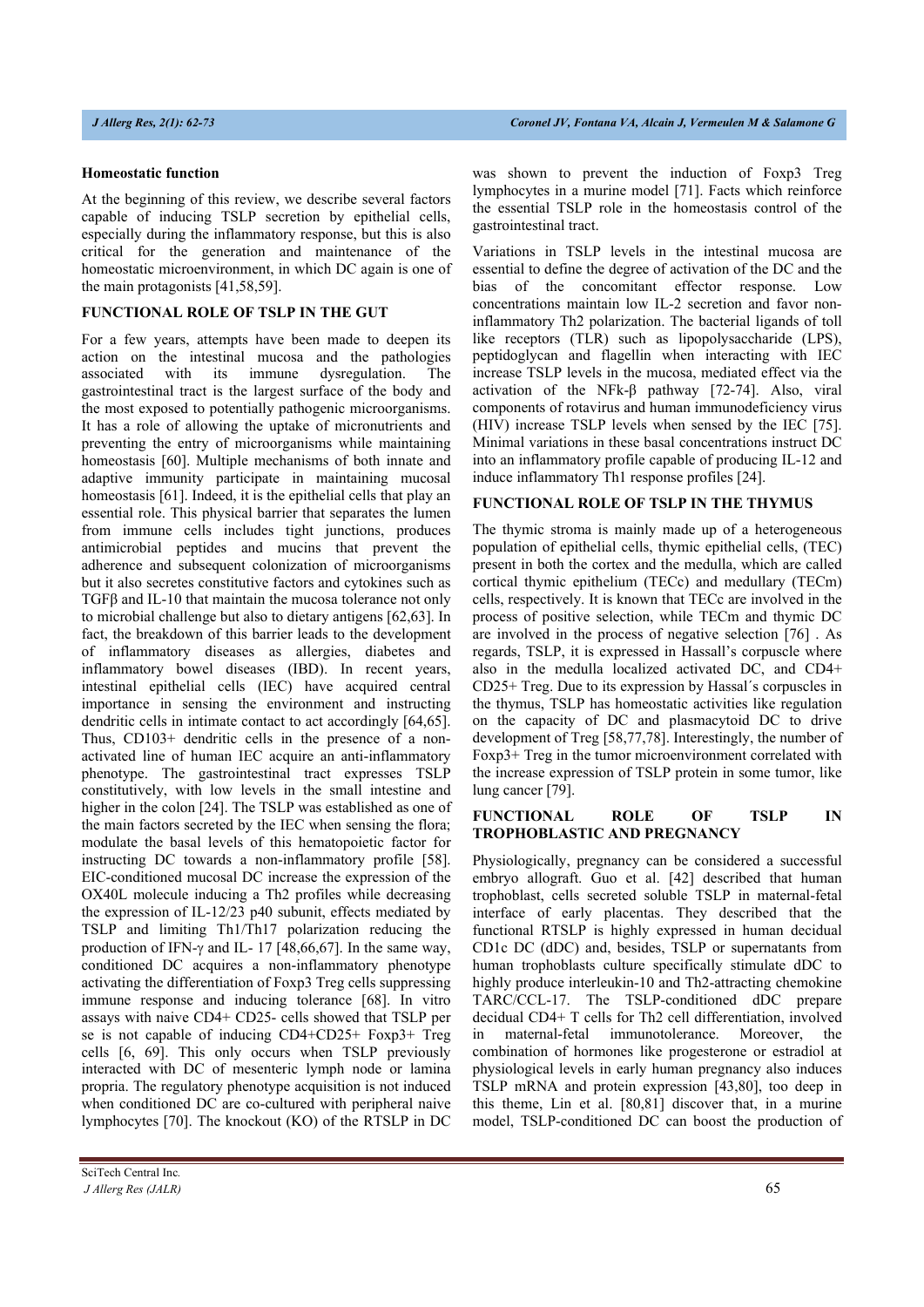#### **Homeostatic function**

At the beginning of this review, we describe several factors capable of inducing TSLP secretion by epithelial cells, especially during the inflammatory response, but this is also critical for the generation and maintenance of the homeostatic microenvironment, in which DC again is one of the main protagonists [41,58,59].

#### **FUNCTIONAL ROLE OF TSLP IN THE GUT**

For a few years, attempts have been made to deepen its action on the intestinal mucosa and the pathologies associated with its immune dysregulation. The gastrointestinal tract is the largest surface of the body and the most exposed to potentially pathogenic microorganisms. It has a role of allowing the uptake of micronutrients and preventing the entry of microorganisms while maintaining homeostasis [60]. Multiple mechanisms of both innate and adaptive immunity participate in maintaining mucosal homeostasis [61]. Indeed, it is the epithelial cells that play an essential role. This physical barrier that separates the lumen from immune cells includes tight junctions, produces antimicrobial peptides and mucins that prevent the adherence and subsequent colonization of microorganisms but it also secretes constitutive factors and cytokines such as TGFβ and IL-10 that maintain the mucosa tolerance not only to microbial challenge but also to dietary antigens [62,63]. In fact, the breakdown of this barrier leads to the development of inflammatory diseases as allergies, diabetes and inflammatory bowel diseases (IBD). In recent years, intestinal epithelial cells (IEC) have acquired central importance in sensing the environment and instructing dendritic cells in intimate contact to act accordingly [64,65]. Thus, CD103+ dendritic cells in the presence of a nonactivated line of human IEC acquire an anti-inflammatory phenotype. The gastrointestinal tract expresses TSLP constitutively, with low levels in the small intestine and higher in the colon [24]. The TSLP was established as one of the main factors secreted by the IEC when sensing the flora; modulate the basal levels of this hematopoietic factor for instructing DC towards a non-inflammatory profile [58]. EIC-conditioned mucosal DC increase the expression of the OX40L molecule inducing a Th2 profiles while decreasing the expression of IL-12/23 p40 subunit, effects mediated by TSLP and limiting Th1/Th17 polarization reducing the production of IFN- $\gamma$  and IL- 17 [48,66,67]. In the same way, conditioned DC acquires a non-inflammatory phenotype activating the differentiation of Foxp3 Treg cells suppressing immune response and inducing tolerance [68]. In vitro assays with naive CD4+ CD25- cells showed that TSLP per se is not capable of inducing CD4+CD25+ Foxp3+ Treg cells [6, 69]. This only occurs when TSLP previously interacted with DC of mesenteric lymph node or lamina propria. The regulatory phenotype acquisition is not induced when conditioned DC are co-cultured with peripheral naive lymphocytes [70]. The knockout (KO) of the RTSLP in DC

was shown to prevent the induction of Foxp3 Treg lymphocytes in a murine model [71]. Facts which reinforce the essential TSLP role in the homeostasis control of the gastrointestinal tract.

Variations in TSLP levels in the intestinal mucosa are essential to define the degree of activation of the DC and the bias of the concomitant effector response. Low concentrations maintain low IL-2 secretion and favor noninflammatory Th2 polarization. The bacterial ligands of toll like receptors (TLR) such as lipopolysaccharide (LPS), peptidoglycan and flagellin when interacting with IEC increase TSLP levels in the mucosa, mediated effect via the activation of the NFk-β pathway [72-74]. Also, viral components of rotavirus and human immunodeficiency virus (HIV) increase TSLP levels when sensed by the IEC [75]. Minimal variations in these basal concentrations instruct DC into an inflammatory profile capable of producing IL-12 and induce inflammatory Th1 response profiles [24].

### **FUNCTIONAL ROLE OF TSLP IN THE THYMUS**

The thymic stroma is mainly made up of a heterogeneous population of epithelial cells, thymic epithelial cells, (TEC) present in both the cortex and the medulla, which are called cortical thymic epithelium (TECc) and medullary (TECm) cells, respectively. It is known that TECc are involved in the process of positive selection, while TECm and thymic DC are involved in the process of negative selection [76] . As regards, TSLP, it is expressed in Hassall's corpuscle where also in the medulla localized activated DC, and CD4+ CD25+ Treg. Due to its expression by Hassal´s corpuscles in the thymus, TSLP has homeostatic activities like regulation on the capacity of DC and plasmacytoid DC to drive development of Treg [58,77,78]. Interestingly, the number of Foxp3+ Treg in the tumor microenvironment correlated with the increase expression of TSLP protein in some tumor, like lung cancer [79].

#### **FUNCTIONAL ROLE OF TSLP IN TROPHOBLASTIC AND PREGNANCY**

Physiologically, pregnancy can be considered a successful embryo allograft. Guo et al. [42] described that human trophoblast, cells secreted soluble TSLP in maternal-fetal interface of early placentas. They described that the functional RTSLP is highly expressed in human decidual CD1c DC (dDC) and, besides, TSLP or supernatants from human trophoblasts culture specifically stimulate dDC to highly produce interleukin-10 and Th2-attracting chemokine TARC/CCL-17. The TSLP-conditioned dDC prepare decidual CD4+ T cells for Th2 cell differentiation, involved in maternal-fetal immunotolerance. Moreover, the combination of hormones like progesterone or estradiol at physiological levels in early human pregnancy also induces TSLP mRNA and protein expression [43,80], too deep in this theme, Lin et al. [80,81] discover that, in a murine model, TSLP-conditioned DC can boost the production of

SciTech Central Inc*.* 

*J Allerg Res (JALR)* 65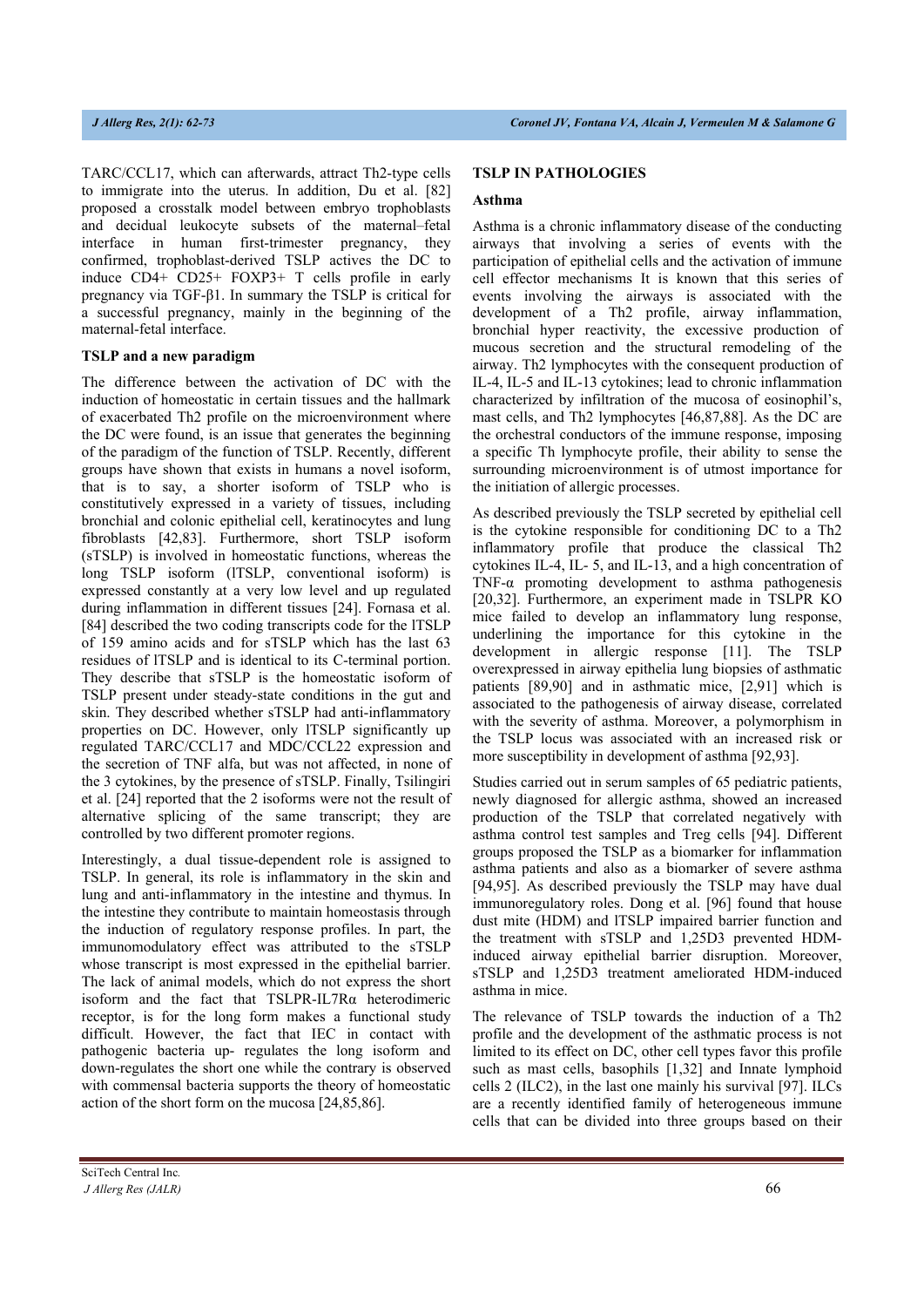TARC/CCL17, which can afterwards, attract Th2-type cells to immigrate into the uterus. In addition, Du et al. [82] proposed a crosstalk model between embryo trophoblasts and decidual leukocyte subsets of the maternal–fetal interface in human first-trimester pregnancy, they confirmed, trophoblast-derived TSLP actives the DC to induce CD4+ CD25+ FOXP3+ T cells profile in early pregnancy via TGF-β1. In summary the TSLP is critical for a successful pregnancy, mainly in the beginning of the maternal-fetal interface.

### **TSLP and a new paradigm**

The difference between the activation of DC with the induction of homeostatic in certain tissues and the hallmark of exacerbated Th2 profile on the microenvironment where the DC were found, is an issue that generates the beginning of the paradigm of the function of TSLP. Recently, different groups have shown that exists in humans a novel isoform, that is to say, a shorter isoform of TSLP who is constitutively expressed in a variety of tissues, including bronchial and colonic epithelial cell, keratinocytes and lung fibroblasts [42,83]. Furthermore, short TSLP isoform (sTSLP) is involved in homeostatic functions, whereas the long TSLP isoform (lTSLP, conventional isoform) is expressed constantly at a very low level and up regulated during inflammation in different tissues [24]. Fornasa et al. [84] described the two coding transcripts code for the lTSLP of 159 amino acids and for sTSLP which has the last 63 residues of lTSLP and is identical to its C-terminal portion. They describe that sTSLP is the homeostatic isoform of TSLP present under steady-state conditions in the gut and skin. They described whether sTSLP had anti-inflammatory properties on DC. However, only lTSLP significantly up regulated TARC/CCL17 and MDC/CCL22 expression and the secretion of TNF alfa, but was not affected, in none of the 3 cytokines, by the presence of sTSLP. Finally, Tsilingiri et al. [24] reported that the 2 isoforms were not the result of alternative splicing of the same transcript; they are controlled by two different promoter regions.

Interestingly, a dual tissue-dependent role is assigned to TSLP. In general, its role is inflammatory in the skin and lung and anti-inflammatory in the intestine and thymus. In the intestine they contribute to maintain homeostasis through the induction of regulatory response profiles. In part, the immunomodulatory effect was attributed to the sTSLP whose transcript is most expressed in the epithelial barrier. The lack of animal models, which do not express the short isoform and the fact that TSLPR-IL7Rα heterodimeric receptor, is for the long form makes a functional study difficult. However, the fact that IEC in contact with pathogenic bacteria up- regulates the long isoform and down-regulates the short one while the contrary is observed with commensal bacteria supports the theory of homeostatic action of the short form on the mucosa [24,85,86].

### **TSLP IN PATHOLOGIES**

#### **Asthma**

Asthma is a chronic inflammatory disease of the conducting airways that involving a series of events with the participation of epithelial cells and the activation of immune cell effector mechanisms It is known that this series of events involving the airways is associated with the development of a Th2 profile, airway inflammation, bronchial hyper reactivity, the excessive production of mucous secretion and the structural remodeling of the airway. Th2 lymphocytes with the consequent production of IL-4, IL-5 and IL-13 cytokines; lead to chronic inflammation characterized by infiltration of the mucosa of eosinophil's, mast cells, and Th2 lymphocytes [46,87,88]. As the DC are the orchestral conductors of the immune response, imposing a specific Th lymphocyte profile, their ability to sense the surrounding microenvironment is of utmost importance for the initiation of allergic processes.

As described previously the TSLP secreted by epithelial cell is the cytokine responsible for conditioning DC to a Th2 inflammatory profile that produce the classical Th2 cytokines IL-4, IL- 5, and IL-13, and a high concentration of TNF-α promoting development to asthma pathogenesis [20,32]. Furthermore, an experiment made in TSLPR KO mice failed to develop an inflammatory lung response, underlining the importance for this cytokine in the development in allergic response [11]. The TSLP overexpressed in airway epithelia lung biopsies of asthmatic patients [89,90] and in asthmatic mice, [2,91] which is associated to the pathogenesis of airway disease, correlated with the severity of asthma. Moreover, a polymorphism in the TSLP locus was associated with an increased risk or more susceptibility in development of asthma [92,93].

Studies carried out in serum samples of 65 pediatric patients, newly diagnosed for allergic asthma, showed an increased production of the TSLP that correlated negatively with asthma control test samples and Treg cells [94]. Different groups proposed the TSLP as a biomarker for inflammation asthma patients and also as a biomarker of severe asthma [94,95]. As described previously the TSLP may have dual immunoregulatory roles. Dong et al. [96] found that house dust mite (HDM) and lTSLP impaired barrier function and the treatment with sTSLP and 1,25D3 prevented HDMinduced airway epithelial barrier disruption. Moreover, sTSLP and 1,25D3 treatment ameliorated HDM-induced asthma in mice.

The relevance of TSLP towards the induction of a Th2 profile and the development of the asthmatic process is not limited to its effect on DC, other cell types favor this profile such as mast cells, basophils [1,32] and Innate lymphoid cells 2 (ILC2), in the last one mainly his survival [97]. ILCs are a recently identified family of heterogeneous immune cells that can be divided into three groups based on their

SciTech Central Inc*. J Allerg Res (JALR)* 66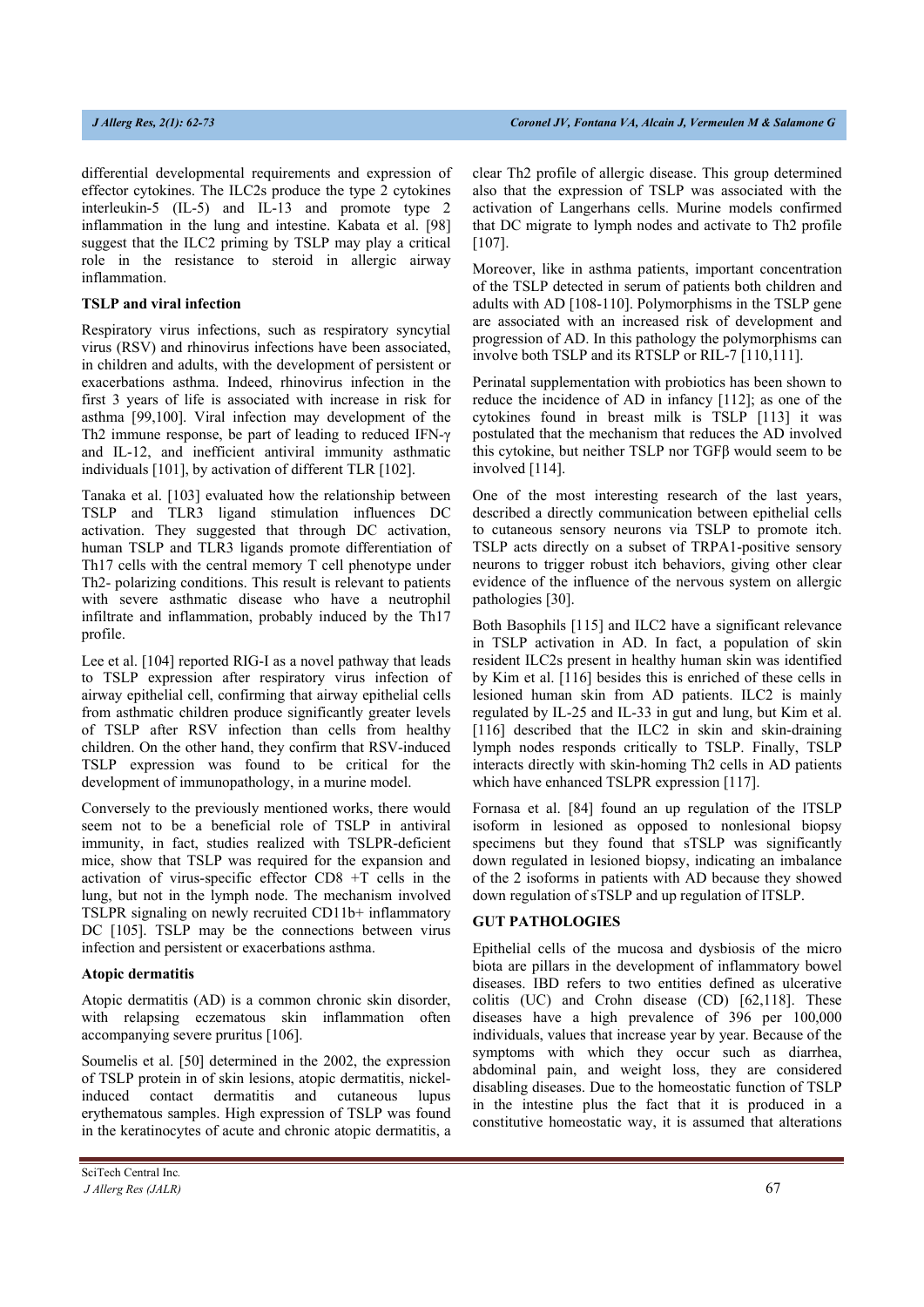differential developmental requirements and expression of effector cytokines. The ILC2s produce the type 2 cytokines interleukin-5 (IL-5) and IL-13 and promote type 2 inflammation in the lung and intestine. Kabata et al. [98] suggest that the ILC2 priming by TSLP may play a critical role in the resistance to steroid in allergic airway inflammation.

#### **TSLP and viral infection**

Respiratory virus infections, such as respiratory syncytial virus (RSV) and rhinovirus infections have been associated, in children and adults, with the development of persistent or exacerbations asthma. Indeed, rhinovirus infection in the first 3 years of life is associated with increase in risk for asthma [99,100]. Viral infection may development of the Th2 immune response, be part of leading to reduced IFN-γ and IL-12, and inefficient antiviral immunity asthmatic individuals [101], by activation of different TLR [102].

Tanaka et al. [103] evaluated how the relationship between TSLP and TLR3 ligand stimulation influences DC activation. They suggested that through DC activation, human TSLP and TLR3 ligands promote differentiation of Th17 cells with the central memory T cell phenotype under Th2- polarizing conditions. This result is relevant to patients with severe asthmatic disease who have a neutrophil infiltrate and inflammation, probably induced by the Th17 profile.

Lee et al. [104] reported RIG-I as a novel pathway that leads to TSLP expression after respiratory virus infection of airway epithelial cell, confirming that airway epithelial cells from asthmatic children produce significantly greater levels of TSLP after RSV infection than cells from healthy children. On the other hand, they confirm that RSV-induced TSLP expression was found to be critical for the development of immunopathology, in a murine model.

Conversely to the previously mentioned works, there would seem not to be a beneficial role of TSLP in antiviral immunity, in fact, studies realized with TSLPR-deficient mice, show that TSLP was required for the expansion and activation of virus-specific effector CD8 +T cells in the lung, but not in the lymph node. The mechanism involved TSLPR signaling on newly recruited CD11b+ inflammatory DC [105]. TSLP may be the connections between virus infection and persistent or exacerbations asthma.

#### **Atopic dermatitis**

Atopic dermatitis (AD) is a common chronic skin disorder, with relapsing eczematous skin inflammation often accompanying severe pruritus [106].

Soumelis et al. [50] determined in the 2002, the expression of TSLP protein in of skin lesions, atopic dermatitis, nickelinduced contact dermatitis and cutaneous lupus erythematous samples. High expression of TSLP was found in the keratinocytes of acute and chronic atopic dermatitis, a

SciTech Central Inc*.* 

clear Th2 profile of allergic disease. This group determined also that the expression of TSLP was associated with the activation of Langerhans cells. Murine models confirmed that DC migrate to lymph nodes and activate to Th2 profile [107].

Moreover, like in asthma patients, important concentration of the TSLP detected in serum of patients both children and adults with AD [108-110]. Polymorphisms in the TSLP gene are associated with an increased risk of development and progression of AD. In this pathology the polymorphisms can involve both TSLP and its RTSLP or RIL-7 [110,111].

Perinatal supplementation with probiotics has been shown to reduce the incidence of AD in infancy [112]; as one of the cytokines found in breast milk is TSLP [113] it was postulated that the mechanism that reduces the AD involved this cytokine, but neither TSLP nor TGFβ would seem to be involved [114].

One of the most interesting research of the last years, described a directly communication between epithelial cells to cutaneous sensory neurons via TSLP to promote itch. TSLP acts directly on a subset of TRPA1-positive sensory neurons to trigger robust itch behaviors, giving other clear evidence of the influence of the nervous system on allergic pathologies [30].

Both Basophils [115] and ILC2 have a significant relevance in TSLP activation in AD. In fact, a population of skin resident ILC2s present in healthy human skin was identified by Kim et al. [116] besides this is enriched of these cells in lesioned human skin from AD patients. ILC2 is mainly regulated by IL-25 and IL-33 in gut and lung, but Kim et al. [116] described that the ILC2 in skin and skin-draining lymph nodes responds critically to TSLP. Finally, TSLP interacts directly with skin-homing Th2 cells in AD patients which have enhanced TSLPR expression [117].

Fornasa et al. [84] found an up regulation of the lTSLP isoform in lesioned as opposed to nonlesional biopsy specimens but they found that sTSLP was significantly down regulated in lesioned biopsy, indicating an imbalance of the 2 isoforms in patients with AD because they showed down regulation of sTSLP and up regulation of lTSLP.

#### **GUT PATHOLOGIES**

Epithelial cells of the mucosa and dysbiosis of the micro biota are pillars in the development of inflammatory bowel diseases. IBD refers to two entities defined as ulcerative colitis (UC) and Crohn disease (CD) [62,118]. These diseases have a high prevalence of 396 per 100,000 individuals, values that increase year by year. Because of the symptoms with which they occur such as diarrhea, abdominal pain, and weight loss, they are considered disabling diseases. Due to the homeostatic function of TSLP in the intestine plus the fact that it is produced in a constitutive homeostatic way, it is assumed that alterations

*J Allerg Res (JALR)* 67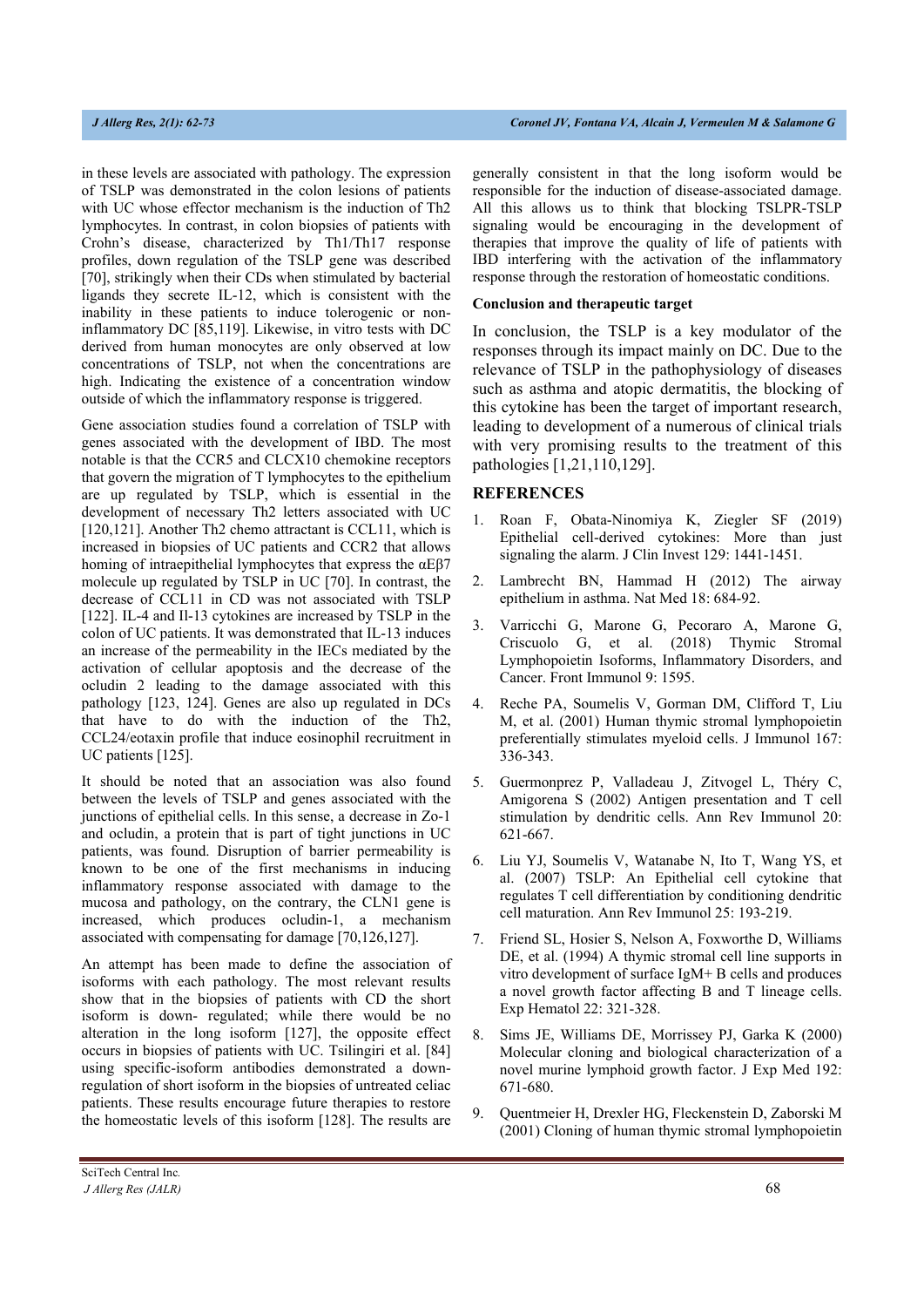in these levels are associated with pathology. The expression of TSLP was demonstrated in the colon lesions of patients with UC whose effector mechanism is the induction of Th2 lymphocytes. In contrast, in colon biopsies of patients with Crohn's disease, characterized by Th1/Th17 response profiles, down regulation of the TSLP gene was described [70], strikingly when their CDs when stimulated by bacterial ligands they secrete IL-12, which is consistent with the inability in these patients to induce tolerogenic or noninflammatory DC [85,119]. Likewise, in vitro tests with DC derived from human monocytes are only observed at low concentrations of TSLP, not when the concentrations are high. Indicating the existence of a concentration window outside of which the inflammatory response is triggered.

Gene association studies found a correlation of TSLP with genes associated with the development of IBD. The most notable is that the CCR5 and CLCX10 chemokine receptors that govern the migration of T lymphocytes to the epithelium are up regulated by TSLP, which is essential in the development of necessary Th2 letters associated with UC [120,121]. Another Th2 chemo attractant is CCL11, which is increased in biopsies of UC patients and CCR2 that allows homing of intraepithelial lymphocytes that express the αEβ7 molecule up regulated by TSLP in UC [70]. In contrast, the decrease of CCL11 in CD was not associated with TSLP [122]. IL-4 and Il-13 cytokines are increased by TSLP in the colon of UC patients. It was demonstrated that IL-13 induces an increase of the permeability in the IECs mediated by the activation of cellular apoptosis and the decrease of the ocludin 2 leading to the damage associated with this pathology [123, 124]. Genes are also up regulated in DCs that have to do with the induction of the Th2, CCL24/eotaxin profile that induce eosinophil recruitment in UC patients [125].

It should be noted that an association was also found between the levels of TSLP and genes associated with the junctions of epithelial cells. In this sense, a decrease in Zo-1 and ocludin, a protein that is part of tight junctions in UC patients, was found. Disruption of barrier permeability is known to be one of the first mechanisms in inducing inflammatory response associated with damage to the mucosa and pathology, on the contrary, the CLN1 gene is increased, which produces ocludin-1, a mechanism associated with compensating for damage [70,126,127].

An attempt has been made to define the association of isoforms with each pathology. The most relevant results show that in the biopsies of patients with CD the short isoform is down- regulated; while there would be no alteration in the long isoform [127], the opposite effect occurs in biopsies of patients with UC. Tsilingiri et al. [84] using specific-isoform antibodies demonstrated a downregulation of short isoform in the biopsies of untreated celiac patients. These results encourage future therapies to restore the homeostatic levels of this isoform [128]. The results are

generally consistent in that the long isoform would be responsible for the induction of disease-associated damage. All this allows us to think that blocking TSLPR-TSLP signaling would be encouraging in the development of therapies that improve the quality of life of patients with IBD interfering with the activation of the inflammatory response through the restoration of homeostatic conditions.

#### **Conclusion and therapeutic target**

In conclusion, the TSLP is a key modulator of the responses through its impact mainly on DC. Due to the relevance of TSLP in the pathophysiology of diseases such as asthma and atopic dermatitis, the blocking of this cytokine has been the target of important research, leading to development of a numerous of clinical trials with very promising results to the treatment of this pathologies [1,21,110,129].

### **REFERENCES**

- 1. Roan F, Obata-Ninomiya K, Ziegler SF (2019) Epithelial cell-derived cytokines: More than just signaling the alarm. J Clin Invest 129: 1441-1451.
- 2. Lambrecht BN, Hammad H (2012) The airway epithelium in asthma. Nat Med 18: 684-92.
- 3. Varricchi G, Marone G, Pecoraro A, Marone G, Criscuolo G, et al. (2018) Thymic Stromal Lymphopoietin Isoforms, Inflammatory Disorders, and Cancer. Front Immunol 9: 1595.
- 4. Reche PA, Soumelis V, Gorman DM, Clifford T, Liu M, et al. (2001) Human thymic stromal lymphopoietin preferentially stimulates myeloid cells. J Immunol 167: 336-343.
- 5. Guermonprez P, Valladeau J, Zitvogel L, Théry C, Amigorena S (2002) Antigen presentation and T cell stimulation by dendritic cells. Ann Rev Immunol 20: 621-667.
- 6. Liu YJ, Soumelis V, Watanabe N, Ito T, Wang YS, et al. (2007) TSLP: An Epithelial cell cytokine that regulates T cell differentiation by conditioning dendritic cell maturation. Ann Rev Immunol 25: 193-219.
- 7. Friend SL, Hosier S, Nelson A, Foxworthe D, Williams DE, et al. (1994) A thymic stromal cell line supports in vitro development of surface IgM+ B cells and produces a novel growth factor affecting B and T lineage cells. Exp Hematol 22: 321-328.
- 8. Sims JE, Williams DE, Morrissey PJ, Garka K (2000) Molecular cloning and biological characterization of a novel murine lymphoid growth factor. J Exp Med 192: 671-680.
- 9. Quentmeier H, Drexler HG, Fleckenstein D, Zaborski M (2001) Cloning of human thymic stromal lymphopoietin

SciTech Central Inc*.*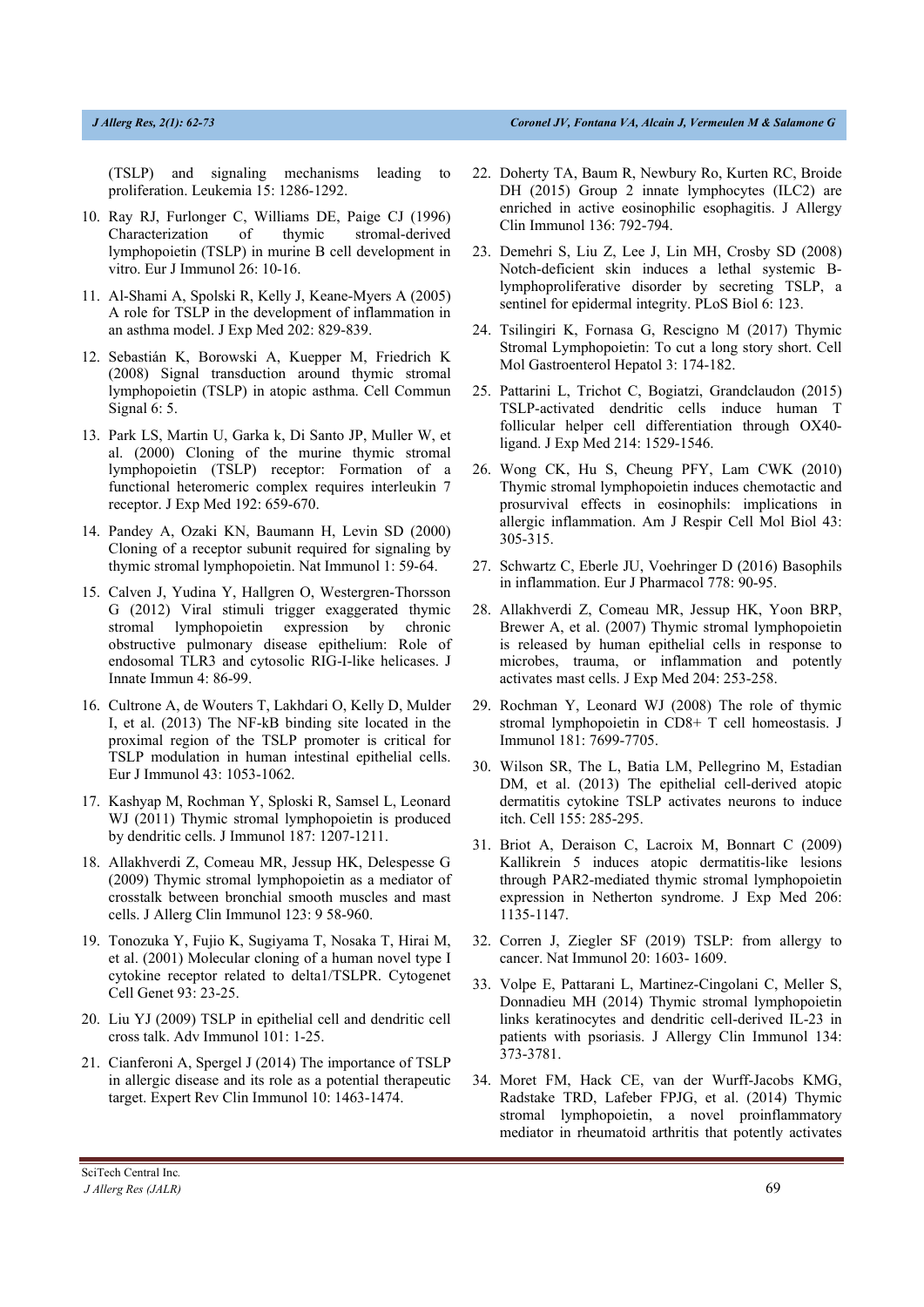(TSLP) and signaling mechanisms leading to proliferation. Leukemia 15: 1286-1292.

- 10. Ray RJ, Furlonger C, Williams DE, Paige CJ (1996) Characterization of thymic stromal-derived lymphopoietin (TSLP) in murine B cell development in vitro. Eur J Immunol 26: 10-16.
- 11. Al-Shami A, Spolski R, Kelly J, Keane-Myers A (2005) A role for TSLP in the development of inflammation in an asthma model. J Exp Med 202: 829-839.
- 12. Sebastián K, Borowski A, Kuepper M, Friedrich K (2008) Signal transduction around thymic stromal lymphopoietin (TSLP) in atopic asthma. Cell Commun Signal 6: 5.
- 13. Park LS, Martin U, Garka k, Di Santo JP, Muller W, et al. (2000) Cloning of the murine thymic stromal lymphopoietin (TSLP) receptor: Formation of a functional heteromeric complex requires interleukin 7 receptor. J Exp Med 192: 659-670.
- 14. Pandey A, Ozaki KN, Baumann H, Levin SD (2000) Cloning of a receptor subunit required for signaling by thymic stromal lymphopoietin. Nat Immunol 1: 59-64.
- 15. Calven J, Yudina Y, Hallgren O, Westergren-Thorsson G (2012) Viral stimuli trigger exaggerated thymic stromal lymphopoietin expression by chronic obstructive pulmonary disease epithelium: Role of endosomal TLR3 and cytosolic RIG-I-like helicases. J Innate Immun 4: 86-99.
- 16. Cultrone A, de Wouters T, Lakhdari O, Kelly D, Mulder I, et al. (2013) The NF-kB binding site located in the proximal region of the TSLP promoter is critical for TSLP modulation in human intestinal epithelial cells. Eur J Immunol 43: 1053-1062.
- 17. Kashyap M, Rochman Y, Sploski R, Samsel L, Leonard WJ (2011) Thymic stromal lymphopoietin is produced by dendritic cells. J Immunol 187: 1207-1211.
- 18. Allakhverdi Z, Comeau MR, Jessup HK, Delespesse G (2009) Thymic stromal lymphopoietin as a mediator of crosstalk between bronchial smooth muscles and mast cells. J Allerg Clin Immunol 123: 9 58-960.
- 19. Tonozuka Y, Fujio K, Sugiyama T, Nosaka T, Hirai M, et al. (2001) Molecular cloning of a human novel type I cytokine receptor related to delta1/TSLPR. Cytogenet Cell Genet 93: 23-25.
- 20. Liu YJ (2009) TSLP in epithelial cell and dendritic cell cross talk. Adv Immunol 101: 1-25.
- 21. Cianferoni A, Spergel J (2014) The importance of TSLP in allergic disease and its role as a potential therapeutic target. Expert Rev Clin Immunol 10: 1463-1474.
- 22. Doherty TA, Baum R, Newbury Ro, Kurten RC, Broide DH (2015) Group 2 innate lymphocytes (ILC2) are enriched in active eosinophilic esophagitis. J Allergy Clin Immunol 136: 792-794.
- 23. Demehri S, Liu Z, Lee J, Lin MH, Crosby SD (2008) Notch-deficient skin induces a lethal systemic Blymphoproliferative disorder by secreting TSLP, a sentinel for epidermal integrity. PLoS Biol 6: 123.
- 24. Tsilingiri K, Fornasa G, Rescigno M (2017) Thymic Stromal Lymphopoietin: To cut a long story short. Cell Mol Gastroenterol Hepatol 3: 174-182.
- 25. Pattarini L, Trichot C, Bogiatzi, Grandclaudon (2015) TSLP-activated dendritic cells induce human T follicular helper cell differentiation through OX40 ligand. J Exp Med 214: 1529-1546.
- 26. Wong CK, Hu S, Cheung PFY, Lam CWK (2010) Thymic stromal lymphopoietin induces chemotactic and prosurvival effects in eosinophils: implications in allergic inflammation. Am J Respir Cell Mol Biol 43: 305-315.
- 27. Schwartz C, Eberle JU, Voehringer D (2016) Basophils in inflammation. Eur J Pharmacol 778: 90-95.
- 28. Allakhverdi Z, Comeau MR, Jessup HK, Yoon BRP, Brewer A, et al. (2007) Thymic stromal lymphopoietin is released by human epithelial cells in response to microbes, trauma, or inflammation and potently activates mast cells. J Exp Med 204: 253-258.
- 29. Rochman Y, Leonard WJ (2008) The role of thymic stromal lymphopoietin in CD8+ T cell homeostasis. J Immunol 181: 7699-7705.
- 30. Wilson SR, The L, Batia LM, Pellegrino M, Estadian DM, et al. (2013) The epithelial cell-derived atopic dermatitis cytokine TSLP activates neurons to induce itch. Cell 155: 285-295.
- 31. Briot A, Deraison C, Lacroix M, Bonnart C (2009) Kallikrein 5 induces atopic dermatitis-like lesions through PAR2-mediated thymic stromal lymphopoietin expression in Netherton syndrome. J Exp Med 206: 1135-1147.
- 32. Corren J, Ziegler SF (2019) TSLP: from allergy to cancer. Nat Immunol 20: 1603- 1609.
- 33. Volpe E, Pattarani L, Martinez-Cingolani C, Meller S, Donnadieu MH (2014) Thymic stromal lymphopoietin links keratinocytes and dendritic cell-derived IL-23 in patients with psoriasis. J Allergy Clin Immunol 134: 373-3781.
- 34. Moret FM, Hack CE, van der Wurff-Jacobs KMG, Radstake TRD, Lafeber FPJG, et al. (2014) Thymic stromal lymphopoietin, a novel proinflammatory mediator in rheumatoid arthritis that potently activates

SciTech Central Inc*. J Allerg Res (JALR)* 69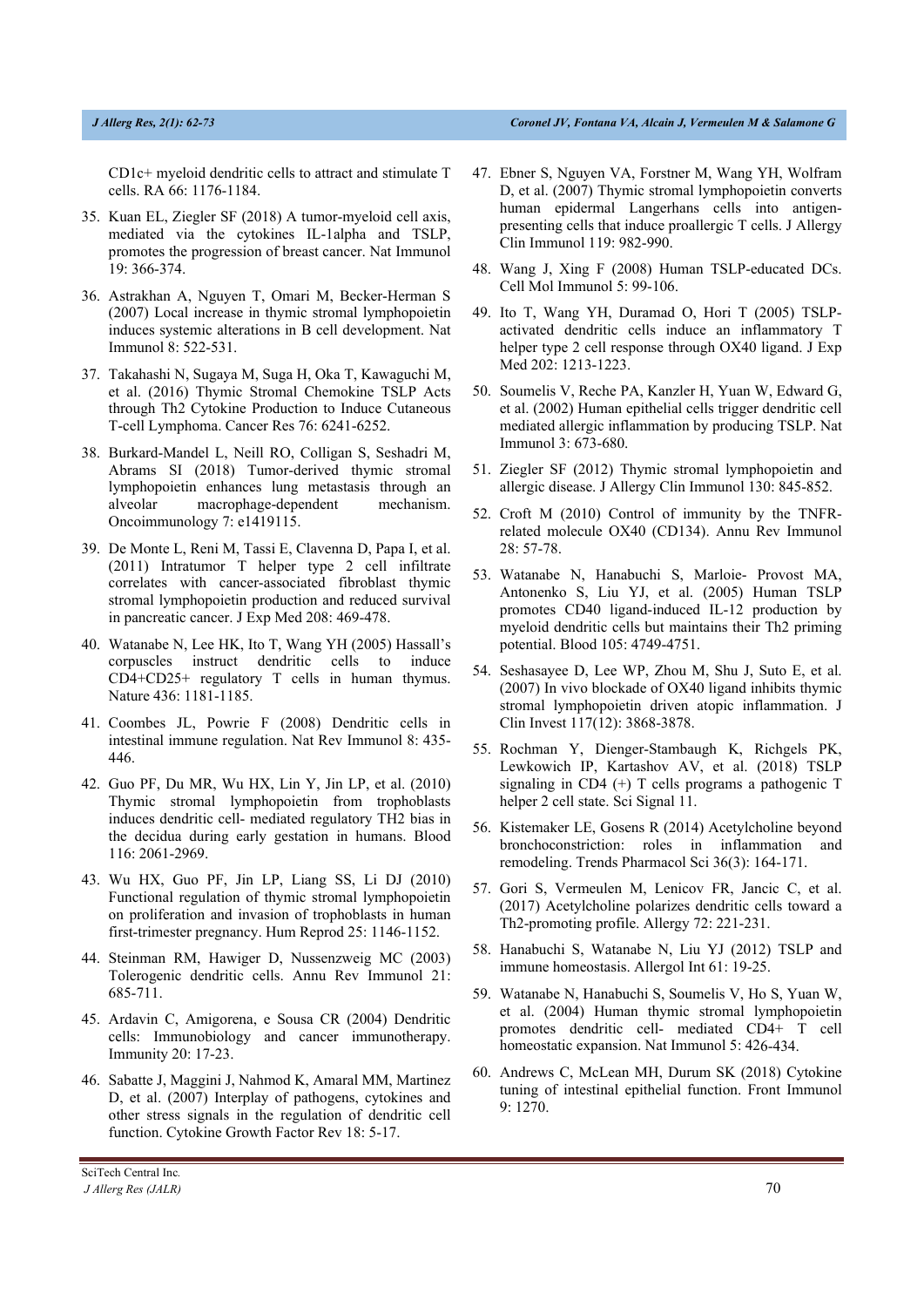CD1c+ myeloid dendritic cells to attract and stimulate T cells. RA 66: 1176-1184.

- 35. Kuan EL, Ziegler SF (2018) A tumor-myeloid cell axis, mediated via the cytokines IL-1alpha and TSLP, promotes the progression of breast cancer. Nat Immunol 19: 366-374.
- 36. Astrakhan A, Nguyen T, Omari M, Becker-Herman S (2007) Local increase in thymic stromal lymphopoietin induces systemic alterations in B cell development. Nat Immunol 8: 522-531.
- 37. Takahashi N, Sugaya M, Suga H, Oka T, Kawaguchi M, et al. (2016) Thymic Stromal Chemokine TSLP Acts through Th2 Cytokine Production to Induce Cutaneous T-cell Lymphoma. Cancer Res 76: 6241-6252.
- 38. Burkard-Mandel L, Neill RO, Colligan S, Seshadri M, Abrams SI (2018) Tumor-derived thymic stromal lymphopoietin enhances lung metastasis through an alveolar macrophage-dependent mechanism. Oncoimmunology 7: e1419115.
- 39. De Monte L, Reni M, Tassi E, Clavenna D, Papa I, et al. (2011) Intratumor T helper type 2 cell infiltrate correlates with cancer-associated fibroblast thymic stromal lymphopoietin production and reduced survival in pancreatic cancer. J Exp Med 208: 469-478.
- 40. Watanabe N, Lee HK, Ito T, Wang YH (2005) Hassall's corpuscles instruct dendritic cells to induce CD4+CD25+ regulatory T cells in human thymus. Nature 436: 1181-1185.
- 41. Coombes JL, Powrie F (2008) Dendritic cells in intestinal immune regulation. Nat Rev Immunol 8: 435- 446.
- 42. Guo PF, Du MR, Wu HX, Lin Y, Jin LP, et al. (2010) Thymic stromal lymphopoietin from trophoblasts induces dendritic cell- mediated regulatory TH2 bias in the decidua during early gestation in humans. Blood 116: 2061-2969.
- 43. Wu HX, Guo PF, Jin LP, Liang SS, Li DJ (2010) Functional regulation of thymic stromal lymphopoietin on proliferation and invasion of trophoblasts in human first-trimester pregnancy. Hum Reprod 25: 1146-1152.
- 44. Steinman RM, Hawiger D, Nussenzweig MC (2003) Tolerogenic dendritic cells. Annu Rev Immunol 21: 685-711.
- 45. Ardavin C, Amigorena, e Sousa CR (2004) Dendritic cells: Immunobiology and cancer immunotherapy. Immunity 20: 17-23.
- 46. Sabatte J, Maggini J, Nahmod K, Amaral MM, Martinez D, et al. (2007) Interplay of pathogens, cytokines and other stress signals in the regulation of dendritic cell function. Cytokine Growth Factor Rev 18: 5-17.
- 48. Wang J, Xing F (2008) Human TSLP-educated DCs. Cell Mol Immunol 5: 99-106.
- 49. Ito T, Wang YH, Duramad O, Hori T (2005) TSLPactivated dendritic cells induce an inflammatory T helper type 2 cell response through OX40 ligand. J Exp Med 202: 1213-1223.
- 50. Soumelis V, Reche PA, Kanzler H, Yuan W, Edward G, et al. (2002) Human epithelial cells trigger dendritic cell mediated allergic inflammation by producing TSLP. Nat Immunol 3: 673-680.
- 51. Ziegler SF (2012) Thymic stromal lymphopoietin and allergic disease. J Allergy Clin Immunol 130: 845-852.
- 52. Croft M (2010) Control of immunity by the TNFRrelated molecule OX40 (CD134). Annu Rev Immunol 28: 57-78.
- 53. Watanabe N, Hanabuchi S, Marloie- Provost MA, Antonenko S, Liu YJ, et al. (2005) Human TSLP promotes CD40 ligand-induced IL-12 production by myeloid dendritic cells but maintains their Th2 priming potential. Blood 105: 4749-4751.
- 54. Seshasayee D, Lee WP, Zhou M, Shu J, Suto E, et al. (2007) In vivo blockade of OX40 ligand inhibits thymic stromal lymphopoietin driven atopic inflammation. J Clin Invest 117(12): 3868-3878.
- 55. Rochman Y, Dienger-Stambaugh K, Richgels PK, Lewkowich IP, Kartashov AV, et al. (2018) TSLP signaling in CD4  $(+)$  T cells programs a pathogenic T helper 2 cell state. Sci Signal 11.
- 56. Kistemaker LE, Gosens R (2014) Acetylcholine beyond bronchoconstriction: roles in inflammation and remodeling. Trends Pharmacol Sci 36(3): 164-171.
- 57. Gori S, Vermeulen M, Lenicov FR, Jancic C, et al. (2017) Acetylcholine polarizes dendritic cells toward a Th2-promoting profile. Allergy 72: 221-231.
- 58. Hanabuchi S, Watanabe N, Liu YJ (2012) TSLP and immune homeostasis. Allergol Int 61: 19-25.
- 59. Watanabe N, Hanabuchi S, Soumelis V, Ho S, Yuan W, et al. (2004) Human thymic stromal lymphopoietin promotes dendritic cell- mediated CD4+ T cell homeostatic expansion. Nat Immunol 5: 426-434.
- 60. Andrews C, McLean MH, Durum SK (2018) Cytokine tuning of intestinal epithelial function. Front Immunol 9: 1270.

<sup>47.</sup> Ebner S, Nguyen VA, Forstner M, Wang YH, Wolfram D, et al. (2007) Thymic stromal lymphopoietin converts human epidermal Langerhans cells into antigenpresenting cells that induce proallergic T cells. J Allergy Clin Immunol 119: 982-990.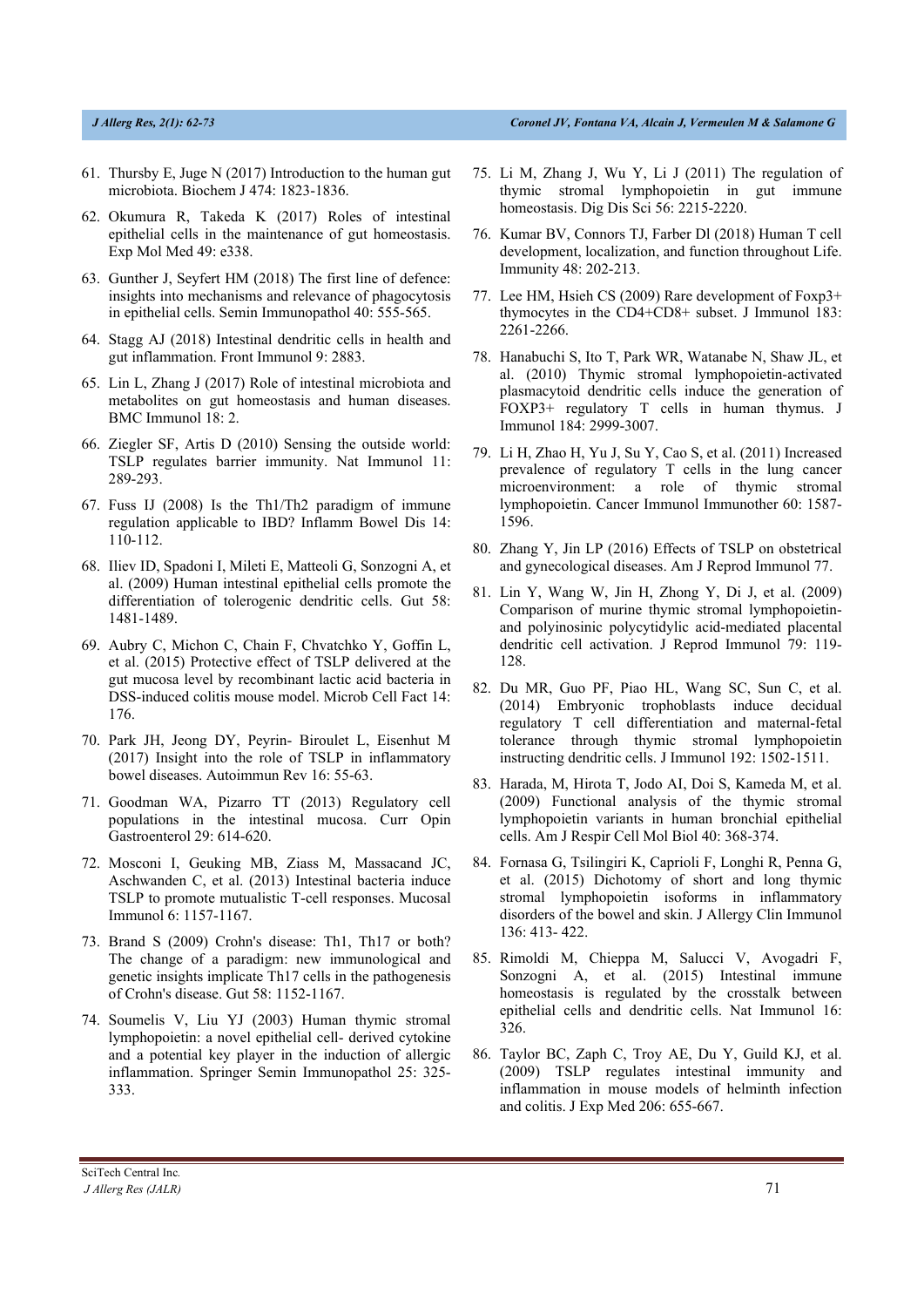- 61. Thursby E, Juge N (2017) Introduction to the human gut microbiota. Biochem J 474: 1823-1836.
- 62. Okumura R, Takeda K (2017) Roles of intestinal epithelial cells in the maintenance of gut homeostasis. Exp Mol Med 49: e338.
- 63. Gunther J, Seyfert HM (2018) The first line of defence: insights into mechanisms and relevance of phagocytosis in epithelial cells. Semin Immunopathol 40: 555-565.
- 64. Stagg AJ (2018) Intestinal dendritic cells in health and gut inflammation. Front Immunol 9: 2883.
- 65. Lin L, Zhang J (2017) Role of intestinal microbiota and metabolites on gut homeostasis and human diseases. BMC Immunol 18: 2.
- 66. Ziegler SF, Artis D (2010) Sensing the outside world: TSLP regulates barrier immunity. Nat Immunol 11: 289-293.
- 67. Fuss IJ (2008) Is the Th1/Th2 paradigm of immune regulation applicable to IBD? Inflamm Bowel Dis 14: 110-112.
- 68. Iliev ID, Spadoni I, Mileti E, Matteoli G, Sonzogni A, et al. (2009) Human intestinal epithelial cells promote the differentiation of tolerogenic dendritic cells. Gut 58: 1481-1489.
- 69. Aubry C, Michon C, Chain F, Chvatchko Y, Goffin L, et al. (2015) Protective effect of TSLP delivered at the gut mucosa level by recombinant lactic acid bacteria in DSS-induced colitis mouse model. Microb Cell Fact 14: 176.
- 70. Park JH, Jeong DY, Peyrin- Biroulet L, Eisenhut M (2017) Insight into the role of TSLP in inflammatory bowel diseases. Autoimmun Rev 16: 55-63.
- 71. Goodman WA, Pizarro TT (2013) Regulatory cell populations in the intestinal mucosa. Curr Opin Gastroenterol 29: 614-620.
- 72. Mosconi I, Geuking MB, Ziass M, Massacand JC, Aschwanden C, et al. (2013) Intestinal bacteria induce TSLP to promote mutualistic T-cell responses. Mucosal Immunol 6: 1157-1167.
- 73. Brand S (2009) Crohn's disease: Th1, Th17 or both? The change of a paradigm: new immunological and genetic insights implicate Th17 cells in the pathogenesis of Crohn's disease. Gut 58: 1152-1167.
- 74. Soumelis V, Liu YJ (2003) Human thymic stromal lymphopoietin: a novel epithelial cell- derived cytokine and a potential key player in the induction of allergic inflammation. Springer Semin Immunopathol 25: 325- 333.
- 75. Li M, Zhang J, Wu Y, Li J (2011) The regulation of thymic stromal lymphopoietin in gut immune homeostasis. Dig Dis Sci 56: 2215-2220.
- 76. Kumar BV, Connors TJ, Farber Dl (2018) Human T cell development, localization, and function throughout Life. Immunity 48: 202-213.
- 77. Lee HM, Hsieh CS (2009) Rare development of Foxp3+ thymocytes in the CD4+CD8+ subset. J Immunol 183: 2261-2266.
- 78. Hanabuchi S, Ito T, Park WR, Watanabe N, Shaw JL, et al. (2010) Thymic stromal lymphopoietin-activated plasmacytoid dendritic cells induce the generation of FOXP3+ regulatory T cells in human thymus. J Immunol 184: 2999-3007.
- 79. Li H, Zhao H, Yu J, Su Y, Cao S, et al. (2011) Increased prevalence of regulatory T cells in the lung cancer microenvironment: a role of thymic stromal lymphopoietin. Cancer Immunol Immunother 60: 1587- 1596.
- 80. Zhang Y, Jin LP (2016) Effects of TSLP on obstetrical and gynecological diseases. Am J Reprod Immunol 77.
- 81. Lin Y, Wang W, Jin H, Zhong Y, Di J, et al. (2009) Comparison of murine thymic stromal lymphopoietinand polyinosinic polycytidylic acid-mediated placental dendritic cell activation. J Reprod Immunol 79: 119- 128.
- 82. Du MR, Guo PF, Piao HL, Wang SC, Sun C, et al. (2014) Embryonic trophoblasts induce decidual regulatory T cell differentiation and maternal-fetal tolerance through thymic stromal lymphopoietin instructing dendritic cells. J Immunol 192: 1502-1511.
- 83. Harada, M, Hirota T, Jodo AI, Doi S, Kameda M, et al. (2009) Functional analysis of the thymic stromal lymphopoietin variants in human bronchial epithelial cells. Am J Respir Cell Mol Biol 40: 368-374.
- 84. Fornasa G, Tsilingiri K, Caprioli F, Longhi R, Penna G, et al. (2015) Dichotomy of short and long thymic stromal lymphopoietin isoforms in inflammatory disorders of the bowel and skin. J Allergy Clin Immunol 136: 413- 422.
- 85. Rimoldi M, Chieppa M, Salucci V, Avogadri F, Sonzogni A, et al. (2015) Intestinal immune homeostasis is regulated by the crosstalk between epithelial cells and dendritic cells. Nat Immunol 16: 326.
- 86. Taylor BC, Zaph C, Troy AE, Du Y, Guild KJ, et al. (2009) TSLP regulates intestinal immunity and inflammation in mouse models of helminth infection and colitis. J Exp Med 206: 655-667.

SciTech Central Inc*. J Allerg Res (JALR)* 21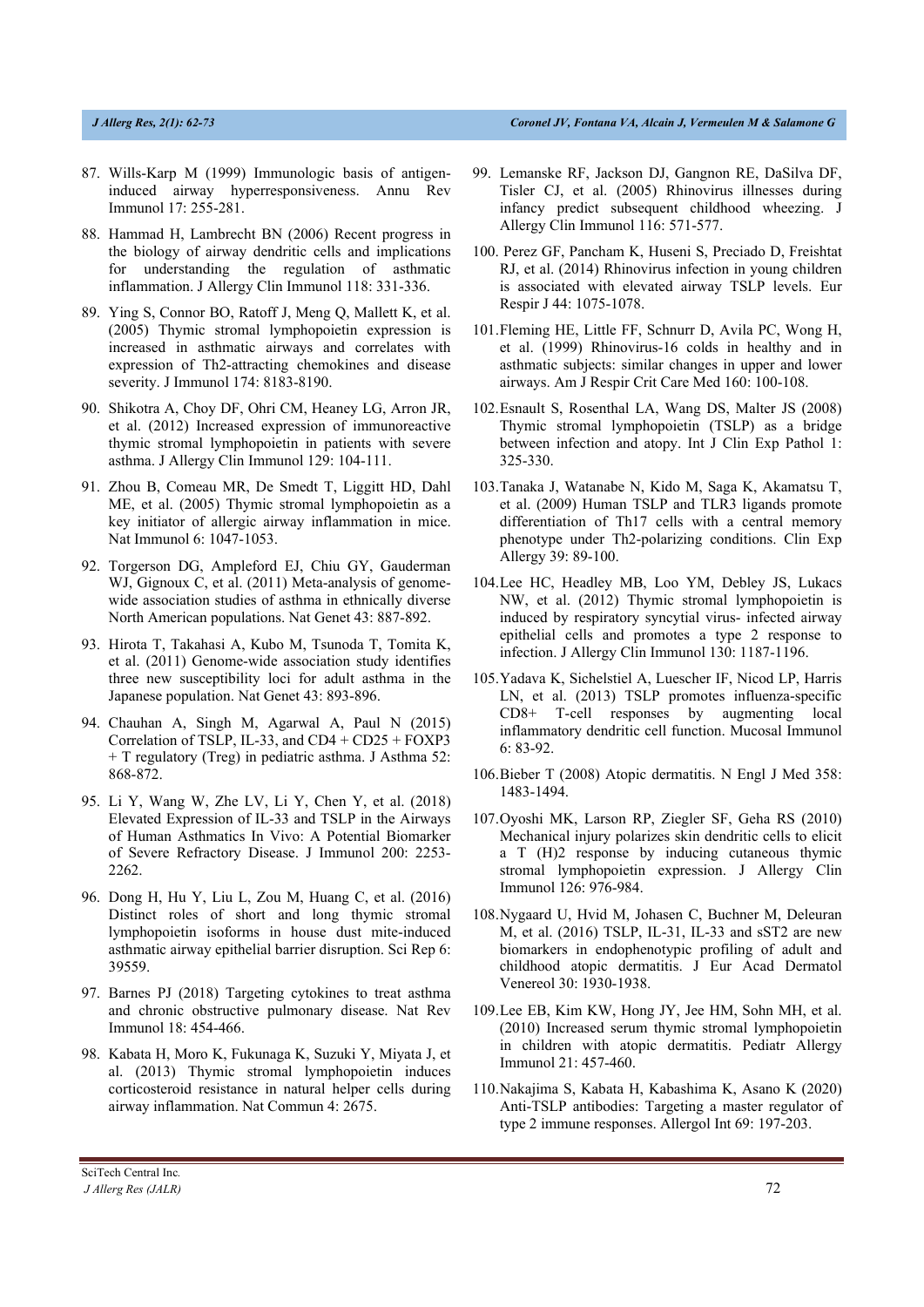- 87. Wills-Karp M (1999) Immunologic basis of antigeninduced airway hyperresponsiveness. Annu Rev Immunol 17: 255-281.
- 88. Hammad H, Lambrecht BN (2006) Recent progress in the biology of airway dendritic cells and implications for understanding the regulation of asthmatic inflammation. J Allergy Clin Immunol 118: 331-336.
- 89. Ying S, Connor BO, Ratoff J, Meng Q, Mallett K, et al. (2005) Thymic stromal lymphopoietin expression is increased in asthmatic airways and correlates with expression of Th2-attracting chemokines and disease severity. J Immunol 174: 8183-8190.
- 90. Shikotra A, Choy DF, Ohri CM, Heaney LG, Arron JR, et al. (2012) Increased expression of immunoreactive thymic stromal lymphopoietin in patients with severe asthma. J Allergy Clin Immunol 129: 104-111.
- 91. Zhou B, Comeau MR, De Smedt T, Liggitt HD, Dahl ME, et al. (2005) Thymic stromal lymphopoietin as a key initiator of allergic airway inflammation in mice. Nat Immunol 6: 1047-1053.
- 92. Torgerson DG, Ampleford EJ, Chiu GY, Gauderman WJ, Gignoux C, et al. (2011) Meta-analysis of genomewide association studies of asthma in ethnically diverse North American populations. Nat Genet 43: 887-892.
- 93. Hirota T, Takahasi A, Kubo M, Tsunoda T, Tomita K, et al. (2011) Genome-wide association study identifies three new susceptibility loci for adult asthma in the Japanese population. Nat Genet 43: 893-896.
- 94. Chauhan A, Singh M, Agarwal A, Paul N (2015) Correlation of TSLP, IL-33, and  $CD4 + CD25 + FOXP3$ + T regulatory (Treg) in pediatric asthma. J Asthma 52: 868-872.
- 95. Li Y, Wang W, Zhe LV, Li Y, Chen Y, et al. (2018) Elevated Expression of IL-33 and TSLP in the Airways of Human Asthmatics In Vivo: A Potential Biomarker of Severe Refractory Disease. J Immunol 200: 2253- 2262.
- 96. Dong H, Hu Y, Liu L, Zou M, Huang C, et al. (2016) Distinct roles of short and long thymic stromal lymphopoietin isoforms in house dust mite-induced asthmatic airway epithelial barrier disruption. Sci Rep 6: 39559.
- 97. Barnes PJ (2018) Targeting cytokines to treat asthma and chronic obstructive pulmonary disease. Nat Rev Immunol 18: 454-466.
- 98. Kabata H, Moro K, Fukunaga K, Suzuki Y, Miyata J, et al. (2013) Thymic stromal lymphopoietin induces corticosteroid resistance in natural helper cells during airway inflammation. Nat Commun 4: 2675.
- 99. Lemanske RF, Jackson DJ, Gangnon RE, DaSilva DF, Tisler CJ, et al. (2005) Rhinovirus illnesses during infancy predict subsequent childhood wheezing. J Allergy Clin Immunol 116: 571-577.
- 100. Perez GF, Pancham K, Huseni S, Preciado D, Freishtat RJ, et al. (2014) Rhinovirus infection in young children is associated with elevated airway TSLP levels. Eur Respir J 44: 1075-1078.
- 101.Fleming HE, Little FF, Schnurr D, Avila PC, Wong H, et al. (1999) Rhinovirus-16 colds in healthy and in asthmatic subjects: similar changes in upper and lower airways. Am J Respir Crit Care Med 160: 100-108.
- 102.Esnault S, Rosenthal LA, Wang DS, Malter JS (2008) Thymic stromal lymphopoietin (TSLP) as a bridge between infection and atopy. Int J Clin Exp Pathol 1: 325-330.
- 103.Tanaka J, Watanabe N, Kido M, Saga K, Akamatsu T, et al. (2009) Human TSLP and TLR3 ligands promote differentiation of Th17 cells with a central memory phenotype under Th2-polarizing conditions. Clin Exp Allergy 39: 89-100.
- 104.Lee HC, Headley MB, Loo YM, Debley JS, Lukacs NW, et al. (2012) Thymic stromal lymphopoietin is induced by respiratory syncytial virus- infected airway epithelial cells and promotes a type 2 response to infection. J Allergy Clin Immunol 130: 1187-1196.
- 105.Yadava K, Sichelstiel A, Luescher IF, Nicod LP, Harris LN, et al. (2013) TSLP promotes influenza-specific CD8+ T-cell responses by augmenting local inflammatory dendritic cell function. Mucosal Immunol 6: 83-92.
- 106.Bieber T (2008) Atopic dermatitis. N Engl J Med 358: 1483-1494.
- 107.Oyoshi MK, Larson RP, Ziegler SF, Geha RS (2010) Mechanical injury polarizes skin dendritic cells to elicit a T (H)2 response by inducing cutaneous thymic stromal lymphopoietin expression. J Allergy Clin Immunol 126: 976-984.
- 108.Nygaard U, Hvid M, Johasen C, Buchner M, Deleuran M, et al. (2016) TSLP, IL-31, IL-33 and sST2 are new biomarkers in endophenotypic profiling of adult and childhood atopic dermatitis. J Eur Acad Dermatol Venereol 30: 1930-1938.
- 109.Lee EB, Kim KW, Hong JY, Jee HM, Sohn MH, et al. (2010) Increased serum thymic stromal lymphopoietin in children with atopic dermatitis. Pediatr Allergy Immunol 21: 457-460.
- 110.Nakajima S, Kabata H, Kabashima K, Asano K (2020) Anti-TSLP antibodies: Targeting a master regulator of type 2 immune responses. Allergol Int 69: 197-203.

SciTech Central Inc*. J Allerg Res (JALR)* 72